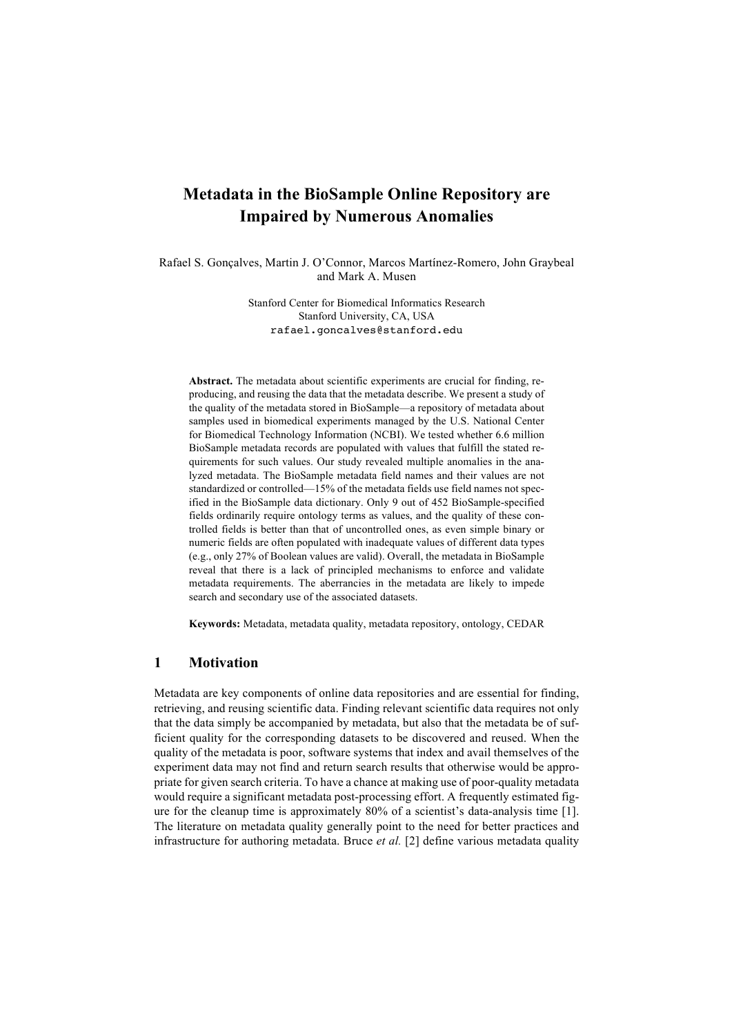# **Metadata in the BioSample Online Repository are Impaired by Numerous Anomalies**

Rafael S. Gonçalves, Martin J. O'Connor, Marcos Martínez-Romero, John Graybeal and Mark A. Musen

> Stanford Center for Biomedical Informatics Research Stanford University, CA, USA rafael.goncalves@stanford.edu

**Abstract.** The metadata about scientific experiments are crucial for finding, reproducing, and reusing the data that the metadata describe. We present a study of the quality of the metadata stored in BioSample—a repository of metadata about samples used in biomedical experiments managed by the U.S. National Center for Biomedical Technology Information (NCBI). We tested whether 6.6 million BioSample metadata records are populated with values that fulfill the stated requirements for such values. Our study revealed multiple anomalies in the analyzed metadata. The BioSample metadata field names and their values are not standardized or controlled—15% of the metadata fields use field names not specified in the BioSample data dictionary. Only 9 out of 452 BioSample-specified fields ordinarily require ontology terms as values, and the quality of these controlled fields is better than that of uncontrolled ones, as even simple binary or numeric fields are often populated with inadequate values of different data types (e.g., only 27% of Boolean values are valid). Overall, the metadata in BioSample reveal that there is a lack of principled mechanisms to enforce and validate metadata requirements. The aberrancies in the metadata are likely to impede search and secondary use of the associated datasets.

**Keywords:** Metadata, metadata quality, metadata repository, ontology, CEDAR

## **1 Motivation**

Metadata are key components of online data repositories and are essential for finding, retrieving, and reusing scientific data. Finding relevant scientific data requires not only that the data simply be accompanied by metadata, but also that the metadata be of sufficient quality for the corresponding datasets to be discovered and reused. When the quality of the metadata is poor, software systems that index and avail themselves of the experiment data may not find and return search results that otherwise would be appropriate for given search criteria. To have a chance at making use of poor-quality metadata would require a significant metadata post-processing effort. A frequently estimated figure for the cleanup time is approximately 80% of a scientist's data-analysis time [1]. The literature on metadata quality generally point to the need for better practices and infrastructure for authoring metadata. Bruce *et al.* [2] define various metadata quality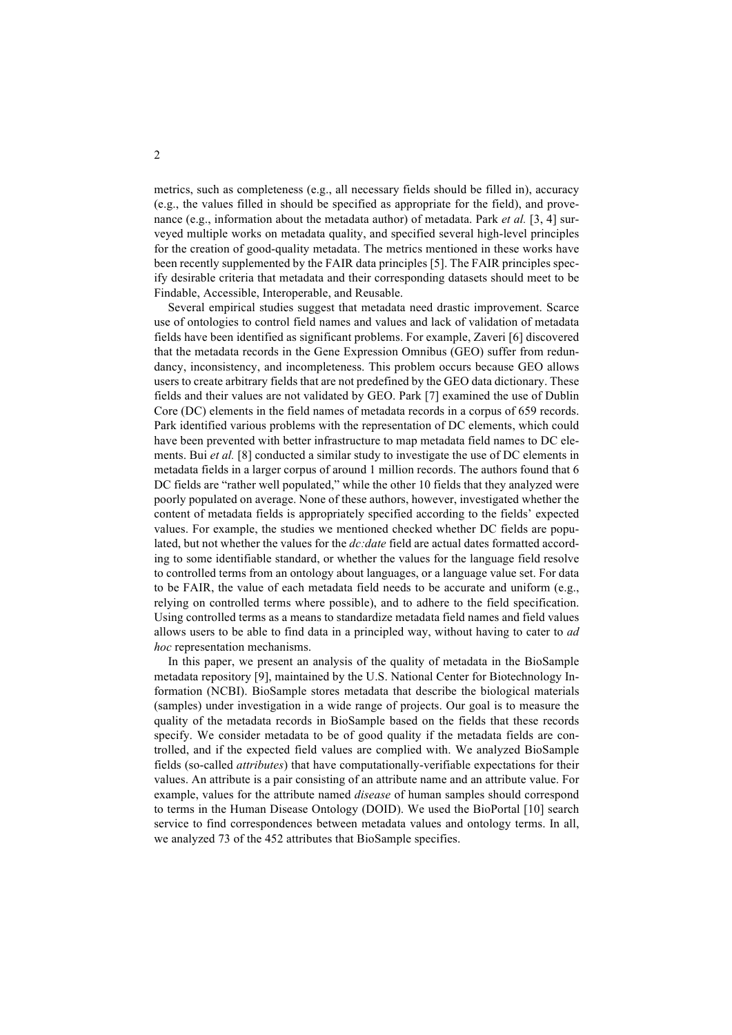metrics, such as completeness (e.g., all necessary fields should be filled in), accuracy (e.g., the values filled in should be specified as appropriate for the field), and provenance (e.g., information about the metadata author) of metadata. Park *et al.* [3, 4] surveyed multiple works on metadata quality, and specified several high-level principles for the creation of good-quality metadata. The metrics mentioned in these works have been recently supplemented by the FAIR data principles [5]. The FAIR principles specify desirable criteria that metadata and their corresponding datasets should meet to be Findable, Accessible, Interoperable, and Reusable.

Several empirical studies suggest that metadata need drastic improvement. Scarce use of ontologies to control field names and values and lack of validation of metadata fields have been identified as significant problems. For example, Zaveri [6] discovered that the metadata records in the Gene Expression Omnibus (GEO) suffer from redundancy, inconsistency, and incompleteness. This problem occurs because GEO allows users to create arbitrary fields that are not predefined by the GEO data dictionary. These fields and their values are not validated by GEO. Park [7] examined the use of Dublin Core (DC) elements in the field names of metadata records in a corpus of 659 records. Park identified various problems with the representation of DC elements, which could have been prevented with better infrastructure to map metadata field names to DC elements. Bui *et al.* [8] conducted a similar study to investigate the use of DC elements in metadata fields in a larger corpus of around 1 million records. The authors found that 6 DC fields are "rather well populated," while the other 10 fields that they analyzed were poorly populated on average. None of these authors, however, investigated whether the content of metadata fields is appropriately specified according to the fields' expected values. For example, the studies we mentioned checked whether DC fields are populated, but not whether the values for the *dc:date* field are actual dates formatted according to some identifiable standard, or whether the values for the language field resolve to controlled terms from an ontology about languages, or a language value set. For data to be FAIR, the value of each metadata field needs to be accurate and uniform (e.g., relying on controlled terms where possible), and to adhere to the field specification. Using controlled terms as a means to standardize metadata field names and field values allows users to be able to find data in a principled way, without having to cater to *ad hoc* representation mechanisms.

In this paper, we present an analysis of the quality of metadata in the BioSample metadata repository [9], maintained by the U.S. National Center for Biotechnology Information (NCBI). BioSample stores metadata that describe the biological materials (samples) under investigation in a wide range of projects. Our goal is to measure the quality of the metadata records in BioSample based on the fields that these records specify. We consider metadata to be of good quality if the metadata fields are controlled, and if the expected field values are complied with. We analyzed BioSample fields (so-called *attributes*) that have computationally-verifiable expectations for their values. An attribute is a pair consisting of an attribute name and an attribute value. For example, values for the attribute named *disease* of human samples should correspond to terms in the Human Disease Ontology (DOID). We used the BioPortal [10] search service to find correspondences between metadata values and ontology terms. In all, we analyzed 73 of the 452 attributes that BioSample specifies.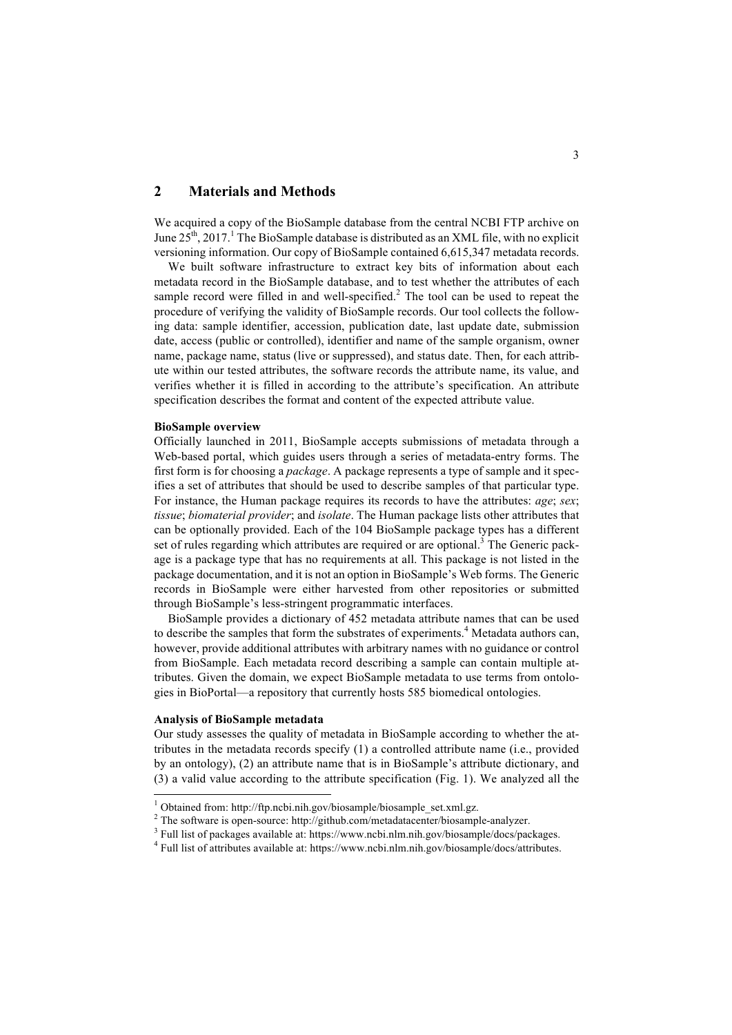## **2 Materials and Methods**

We acquired a copy of the BioSample database from the central NCBI FTP archive on June  $25<sup>th</sup>$ ,  $2017<sup>1</sup>$  The BioSample database is distributed as an XML file, with no explicit versioning information. Our copy of BioSample contained 6,615,347 metadata records.

We built software infrastructure to extract key bits of information about each metadata record in the BioSample database, and to test whether the attributes of each sample record were filled in and well-specified.<sup>2</sup> The tool can be used to repeat the procedure of verifying the validity of BioSample records. Our tool collects the following data: sample identifier, accession, publication date, last update date, submission date, access (public or controlled), identifier and name of the sample organism, owner name, package name, status (live or suppressed), and status date. Then, for each attribute within our tested attributes, the software records the attribute name, its value, and verifies whether it is filled in according to the attribute's specification. An attribute specification describes the format and content of the expected attribute value.

### **BioSample overview**

Officially launched in 2011, BioSample accepts submissions of metadata through a Web-based portal, which guides users through a series of metadata-entry forms. The first form is for choosing a *package*. A package represents a type of sample and it specifies a set of attributes that should be used to describe samples of that particular type. For instance, the Human package requires its records to have the attributes: *age*; *sex*; *tissue*; *biomaterial provider*; and *isolate*. The Human package lists other attributes that can be optionally provided. Each of the 104 BioSample package types has a different set of rules regarding which attributes are required or are optional. $3$  The Generic package is a package type that has no requirements at all. This package is not listed in the package documentation, and it is not an option in BioSample's Web forms. The Generic records in BioSample were either harvested from other repositories or submitted through BioSample's less-stringent programmatic interfaces.

BioSample provides a dictionary of 452 metadata attribute names that can be used to describe the samples that form the substrates of experiments. <sup>4</sup> Metadata authors can, however, provide additional attributes with arbitrary names with no guidance or control from BioSample. Each metadata record describing a sample can contain multiple attributes. Given the domain, we expect BioSample metadata to use terms from ontologies in BioPortal—a repository that currently hosts 585 biomedical ontologies.

## **Analysis of BioSample metadata**

Our study assesses the quality of metadata in BioSample according to whether the attributes in the metadata records specify (1) a controlled attribute name (i.e., provided by an ontology), (2) an attribute name that is in BioSample's attribute dictionary, and (3) a valid value according to the attribute specification (Fig. 1). We analyzed all the

<sup>&</sup>lt;sup>1</sup> Obtained from: http://ftp.ncbi.nih.gov/biosample/biosample\_set.xml.gz.

<sup>&</sup>lt;sup>2</sup> The software is open-source: http://github.com/metadatacenter/biosample-analyzer.

<sup>3</sup> Full list of packages available at: https://www.ncbi.nlm.nih.gov/biosample/docs/packages.

<sup>4</sup> Full list of attributes available at: https://www.ncbi.nlm.nih.gov/biosample/docs/attributes.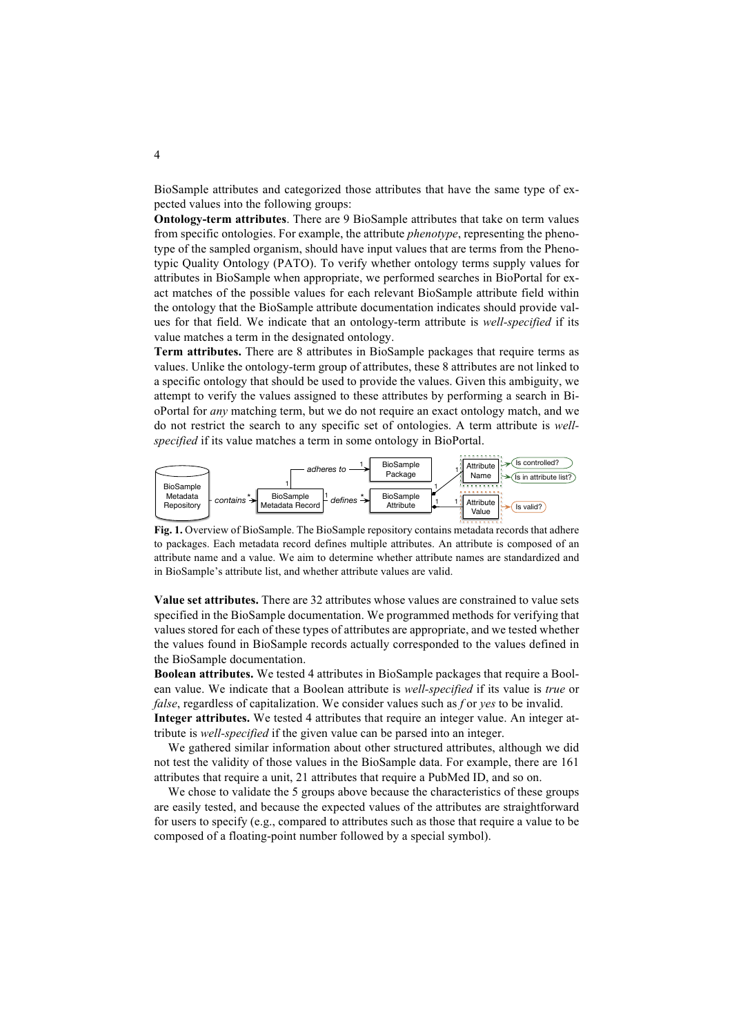BioSample attributes and categorized those attributes that have the same type of expected values into the following groups:

**Ontology-term attributes**. There are 9 BioSample attributes that take on term values from specific ontologies. For example, the attribute *phenotype*, representing the phenotype of the sampled organism, should have input values that are terms from the Phenotypic Quality Ontology (PATO). To verify whether ontology terms supply values for attributes in BioSample when appropriate, we performed searches in BioPortal for exact matches of the possible values for each relevant BioSample attribute field within the ontology that the BioSample attribute documentation indicates should provide values for that field. We indicate that an ontology-term attribute is *well-specified* if its value matches a term in the designated ontology.

**Term attributes.** There are 8 attributes in BioSample packages that require terms as values. Unlike the ontology-term group of attributes, these 8 attributes are not linked to a specific ontology that should be used to provide the values. Given this ambiguity, we attempt to verify the values assigned to these attributes by performing a search in BioPortal for *any* matching term, but we do not require an exact ontology match, and we do not restrict the search to any specific set of ontologies. A term attribute is *wellspecified* if its value matches a term in some ontology in BioPortal.



**Fig. 1.** Overview of BioSample. The BioSample repository contains metadata records that adhere to packages. Each metadata record defines multiple attributes. An attribute is composed of an attribute name and a value. We aim to determine whether attribute names are standardized and in BioSample's attribute list, and whether attribute values are valid.

**Value set attributes.** There are 32 attributes whose values are constrained to value sets specified in the BioSample documentation. We programmed methods for verifying that values stored for each of these types of attributes are appropriate, and we tested whether the values found in BioSample records actually corresponded to the values defined in the BioSample documentation.

**Boolean attributes.** We tested 4 attributes in BioSample packages that require a Boolean value. We indicate that a Boolean attribute is *well-specified* if its value is *true* or *false*, regardless of capitalization. We consider values such as *f* or *yes* to be invalid.

**Integer attributes.** We tested 4 attributes that require an integer value. An integer attribute is *well-specified* if the given value can be parsed into an integer.

We gathered similar information about other structured attributes, although we did not test the validity of those values in the BioSample data. For example, there are 161 attributes that require a unit, 21 attributes that require a PubMed ID, and so on.

We chose to validate the 5 groups above because the characteristics of these groups are easily tested, and because the expected values of the attributes are straightforward for users to specify (e.g., compared to attributes such as those that require a value to be composed of a floating-point number followed by a special symbol).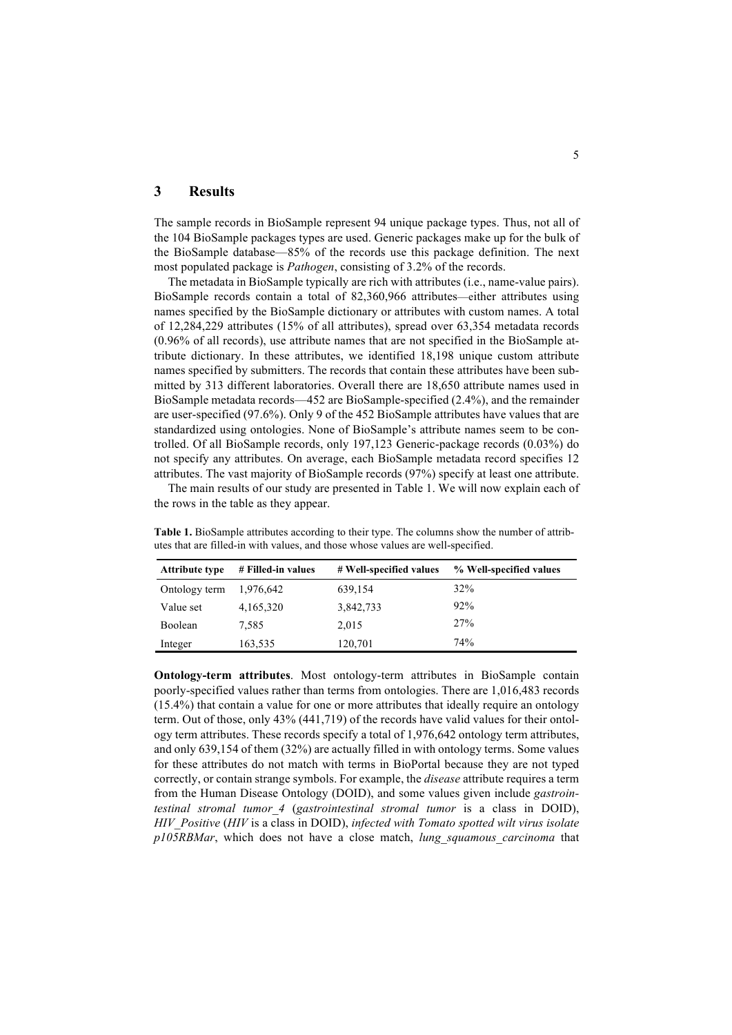# **3 Results**

The sample records in BioSample represent 94 unique package types. Thus, not all of the 104 BioSample packages types are used. Generic packages make up for the bulk of the BioSample database—85% of the records use this package definition. The next most populated package is *Pathogen*, consisting of 3.2% of the records.

The metadata in BioSample typically are rich with attributes (i.e., name-value pairs). BioSample records contain a total of 82,360,966 attributes—either attributes using names specified by the BioSample dictionary or attributes with custom names. A total of 12,284,229 attributes (15% of all attributes), spread over 63,354 metadata records (0.96% of all records), use attribute names that are not specified in the BioSample attribute dictionary. In these attributes, we identified 18,198 unique custom attribute names specified by submitters. The records that contain these attributes have been submitted by 313 different laboratories. Overall there are 18,650 attribute names used in BioSample metadata records—452 are BioSample-specified (2.4%), and the remainder are user-specified (97.6%). Only 9 of the 452 BioSample attributes have values that are standardized using ontologies. None of BioSample's attribute names seem to be controlled. Of all BioSample records, only 197,123 Generic-package records (0.03%) do not specify any attributes. On average, each BioSample metadata record specifies 12 attributes. The vast majority of BioSample records (97%) specify at least one attribute.

The main results of our study are presented in Table 1. We will now explain each of the rows in the table as they appear.

| <b>Attribute type</b> | # Filled-in values | # Well-specified values | % Well-specified values |
|-----------------------|--------------------|-------------------------|-------------------------|
| Ontology term         | 1,976,642          | 639,154                 | 32%                     |
| Value set             | 4,165,320          | 3,842,733               | 92%                     |
| Boolean               | 7.585              | 2,015                   | 27%                     |
| Integer               | 163,535            | 120,701                 | 74%                     |

**Table 1.** BioSample attributes according to their type. The columns show the number of attributes that are filled-in with values, and those whose values are well-specified.

**Ontology-term attributes**. Most ontology-term attributes in BioSample contain poorly-specified values rather than terms from ontologies. There are 1,016,483 records (15.4%) that contain a value for one or more attributes that ideally require an ontology term. Out of those, only 43% (441,719) of the records have valid values for their ontology term attributes. These records specify a total of 1,976,642 ontology term attributes, and only 639,154 of them (32%) are actually filled in with ontology terms. Some values for these attributes do not match with terms in BioPortal because they are not typed correctly, or contain strange symbols. For example, the *disease* attribute requires a term from the Human Disease Ontology (DOID), and some values given include *gastrointestinal stromal tumor\_4* (*gastrointestinal stromal tumor* is a class in DOID), *HIV\_Positive* (*HIV* is a class in DOID), *infected with Tomato spotted wilt virus isolate p105RBMar*, which does not have a close match, *lung\_squamous\_carcinoma* that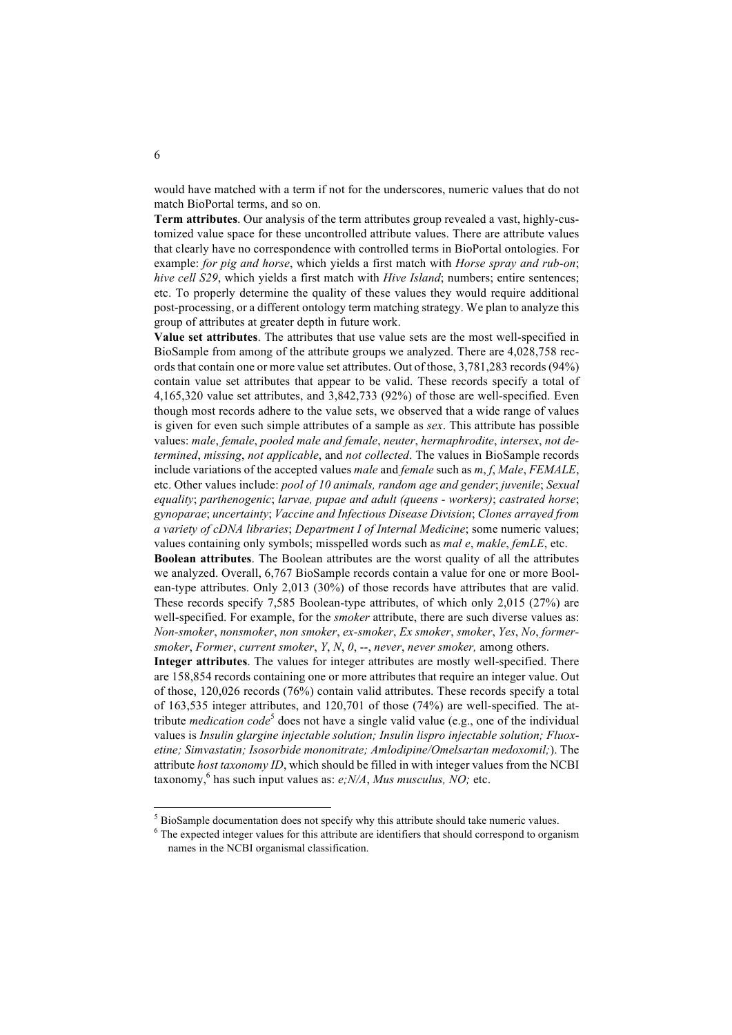would have matched with a term if not for the underscores, numeric values that do not match BioPortal terms, and so on.

**Term attributes**. Our analysis of the term attributes group revealed a vast, highly-customized value space for these uncontrolled attribute values. There are attribute values that clearly have no correspondence with controlled terms in BioPortal ontologies. For example: *for pig and horse*, which yields a first match with *Horse spray and rub-on*; *hive cell S29*, which yields a first match with *Hive Island*; numbers; entire sentences; etc. To properly determine the quality of these values they would require additional post-processing, or a different ontology term matching strategy. We plan to analyze this group of attributes at greater depth in future work.

**Value set attributes**. The attributes that use value sets are the most well-specified in BioSample from among of the attribute groups we analyzed. There are 4,028,758 records that contain one or more value set attributes. Out of those, 3,781,283 records (94%) contain value set attributes that appear to be valid. These records specify a total of 4,165,320 value set attributes, and 3,842,733 (92%) of those are well-specified. Even though most records adhere to the value sets, we observed that a wide range of values is given for even such simple attributes of a sample as *sex*. This attribute has possible values: *male*, *female*, *pooled male and female*, *neuter*, *hermaphrodite*, *intersex*, *not determined*, *missing*, *not applicable*, and *not collected*. The values in BioSample records include variations of the accepted values *male* and *female* such as *m*, *f*, *Male*, *FEMALE*, etc. Other values include: *pool of 10 animals, random age and gender*; *juvenile*; *Sexual equality*; *parthenogenic*; *larvae, pupae and adult (queens - workers)*; *castrated horse*; *gynoparae*; *uncertainty*; *Vaccine and Infectious Disease Division*; *Clones arrayed from a variety of cDNA libraries*; *Department I of Internal Medicine*; some numeric values; values containing only symbols; misspelled words such as *mal e*, *makle*, *femLE*, etc.

**Boolean attributes**. The Boolean attributes are the worst quality of all the attributes we analyzed. Overall, 6,767 BioSample records contain a value for one or more Boolean-type attributes. Only 2,013 (30%) of those records have attributes that are valid. These records specify 7,585 Boolean-type attributes, of which only 2,015 (27%) are well-specified. For example, for the *smoker* attribute, there are such diverse values as: *Non-smoker*, *nonsmoker*, *non smoker*, *ex-smoker*, *Ex smoker*, *smoker*, *Yes*, *No*, *formersmoker*, *Former*, *current smoker*, *Y*, *N*, *0*, --, *never*, *never smoker,* among others.

**Integer attributes**. The values for integer attributes are mostly well-specified. There are 158,854 records containing one or more attributes that require an integer value. Out of those, 120,026 records (76%) contain valid attributes. These records specify a total of 163,535 integer attributes, and 120,701 of those (74%) are well-specified. The attribute *medication code*<sup>5</sup> does not have a single valid value (e.g., one of the individual values is *Insulin glargine injectable solution; Insulin lispro injectable solution; Fluoxetine; Simvastatin; Isosorbide mononitrate; Amlodipine/Omelsartan medoxomil;*). The attribute *host taxonomy ID*, which should be filled in with integer values from the NCBI taxonomy,  $6$  has such input values as:  $e$ ;  $N/A$ , Mus musculus, NO; etc.

 $<sup>5</sup>$  BioSample documentation does not specify why this attribute should take numeric values.</sup>

<sup>&</sup>lt;sup>6</sup> The expected integer values for this attribute are identifiers that should correspond to organism names in the NCBI organismal classification.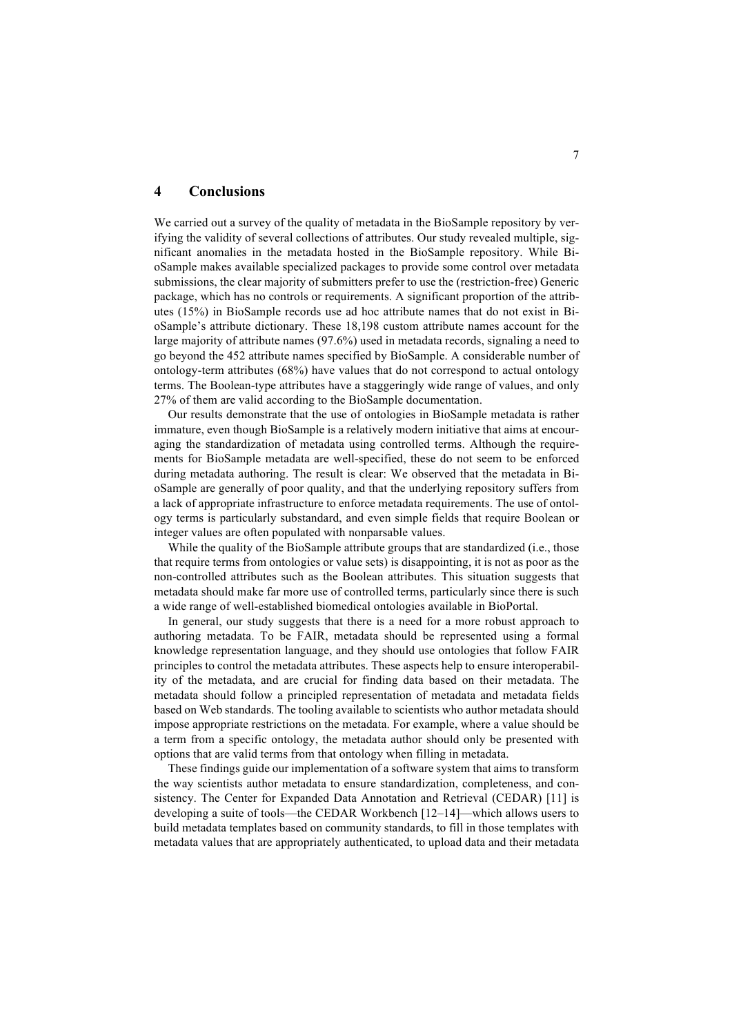# **4 Conclusions**

We carried out a survey of the quality of metadata in the BioSample repository by verifying the validity of several collections of attributes. Our study revealed multiple, significant anomalies in the metadata hosted in the BioSample repository. While BioSample makes available specialized packages to provide some control over metadata submissions, the clear majority of submitters prefer to use the (restriction-free) Generic package, which has no controls or requirements. A significant proportion of the attributes (15%) in BioSample records use ad hoc attribute names that do not exist in BioSample's attribute dictionary. These 18,198 custom attribute names account for the large majority of attribute names (97.6%) used in metadata records, signaling a need to go beyond the 452 attribute names specified by BioSample. A considerable number of ontology-term attributes (68%) have values that do not correspond to actual ontology terms. The Boolean-type attributes have a staggeringly wide range of values, and only 27% of them are valid according to the BioSample documentation.

Our results demonstrate that the use of ontologies in BioSample metadata is rather immature, even though BioSample is a relatively modern initiative that aims at encouraging the standardization of metadata using controlled terms. Although the requirements for BioSample metadata are well-specified, these do not seem to be enforced during metadata authoring. The result is clear: We observed that the metadata in BioSample are generally of poor quality, and that the underlying repository suffers from a lack of appropriate infrastructure to enforce metadata requirements. The use of ontology terms is particularly substandard, and even simple fields that require Boolean or integer values are often populated with nonparsable values.

While the quality of the BioSample attribute groups that are standardized *(i.e., those*) that require terms from ontologies or value sets) is disappointing, it is not as poor as the non-controlled attributes such as the Boolean attributes. This situation suggests that metadata should make far more use of controlled terms, particularly since there is such a wide range of well-established biomedical ontologies available in BioPortal.

In general, our study suggests that there is a need for a more robust approach to authoring metadata. To be FAIR, metadata should be represented using a formal knowledge representation language, and they should use ontologies that follow FAIR principles to control the metadata attributes. These aspects help to ensure interoperability of the metadata, and are crucial for finding data based on their metadata. The metadata should follow a principled representation of metadata and metadata fields based on Web standards. The tooling available to scientists who author metadata should impose appropriate restrictions on the metadata. For example, where a value should be a term from a specific ontology, the metadata author should only be presented with options that are valid terms from that ontology when filling in metadata.

These findings guide our implementation of a software system that aims to transform the way scientists author metadata to ensure standardization, completeness, and consistency. The Center for Expanded Data Annotation and Retrieval (CEDAR) [11] is developing a suite of tools—the CEDAR Workbench [12–14]—which allows users to build metadata templates based on community standards, to fill in those templates with metadata values that are appropriately authenticated, to upload data and their metadata